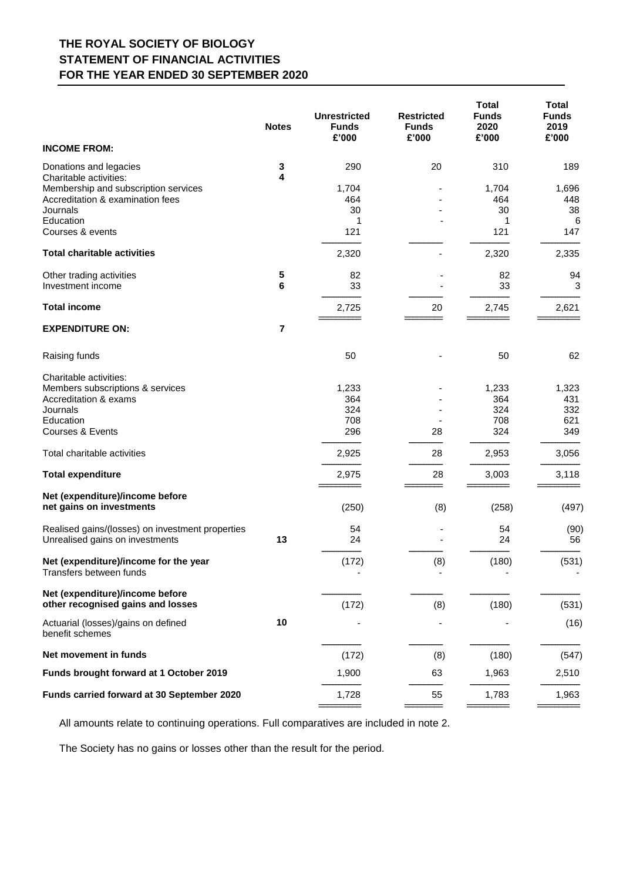## **THE ROYAL SOCIETY OF BIOLOGY STATEMENT OF FINANCIAL ACTIVITIES FOR THE YEAR ENDED 30 SEPTEMBER 2020**

| <b>INCOME FROM:</b>                                                                                                              | <b>Notes</b> | <b>Unrestricted</b><br><b>Funds</b><br>£'000 | <b>Restricted</b><br><b>Funds</b><br>£'000 | <b>Total</b><br><b>Funds</b><br>2020<br>£'000 | <b>Total</b><br><b>Funds</b><br>2019<br>£'000 |
|----------------------------------------------------------------------------------------------------------------------------------|--------------|----------------------------------------------|--------------------------------------------|-----------------------------------------------|-----------------------------------------------|
| Donations and legacies                                                                                                           | 3            | 290                                          | 20                                         | 310                                           | 189                                           |
| Charitable activities:<br>Membership and subscription services<br>Accreditation & examination fees<br>Journals<br>Education      | 4            | 1,704<br>464<br>30<br>1                      |                                            | 1,704<br>464<br>30<br>1                       | 1,696<br>448<br>38<br>6                       |
| Courses & events                                                                                                                 |              | 121                                          |                                            | 121                                           | 147                                           |
| <b>Total charitable activities</b>                                                                                               |              | 2,320                                        |                                            | 2,320                                         | 2,335                                         |
| Other trading activities<br>Investment income                                                                                    | 5<br>6       | 82<br>33                                     |                                            | 82<br>33                                      | 94<br>3                                       |
| <b>Total income</b>                                                                                                              |              | 2,725                                        | 20                                         | 2,745                                         | 2,621                                         |
| <b>EXPENDITURE ON:</b>                                                                                                           | 7            |                                              |                                            |                                               |                                               |
| Raising funds                                                                                                                    |              | 50                                           |                                            | 50                                            | 62                                            |
| Charitable activities:<br>Members subscriptions & services<br>Accreditation & exams<br>Journals<br>Education<br>Courses & Events |              | 1,233<br>364<br>324<br>708<br>296            | 28                                         | 1,233<br>364<br>324<br>708<br>324             | 1,323<br>431<br>332<br>621<br>349             |
| Total charitable activities                                                                                                      |              | 2,925                                        | 28                                         | 2,953                                         | 3,056                                         |
| <b>Total expenditure</b>                                                                                                         |              | 2,975                                        | 28                                         | 3,003                                         | 3,118                                         |
| Net (expenditure)/income before<br>net gains on investments                                                                      |              | (250)                                        | (8)                                        | (258)                                         | (497)                                         |
| Realised gains/(losses) on investment properties<br>Unrealised gains on investments                                              | 13           | 54<br>24                                     |                                            | 54<br>24                                      | (90)<br>56                                    |
| Net (expenditure)/income for the year<br>Transfers between funds                                                                 |              | (172)                                        | (8)                                        | (180)                                         | (531)                                         |
| Net (expenditure)/income before<br>other recognised gains and losses                                                             |              | (172)                                        | (8)                                        | (180)                                         | (531)                                         |
| Actuarial (losses)/gains on defined<br>benefit schemes                                                                           | 10           |                                              |                                            |                                               | (16)                                          |
| Net movement in funds                                                                                                            |              | (172)                                        | (8)                                        | (180)                                         | (547)                                         |
| Funds brought forward at 1 October 2019                                                                                          |              | 1,900                                        | 63                                         | 1,963                                         | 2,510                                         |
| Funds carried forward at 30 September 2020                                                                                       |              | 1,728                                        | 55                                         | 1,783                                         | 1,963                                         |

All amounts relate to continuing operations. Full comparatives are included in note 2.

The Society has no gains or losses other than the result for the period.